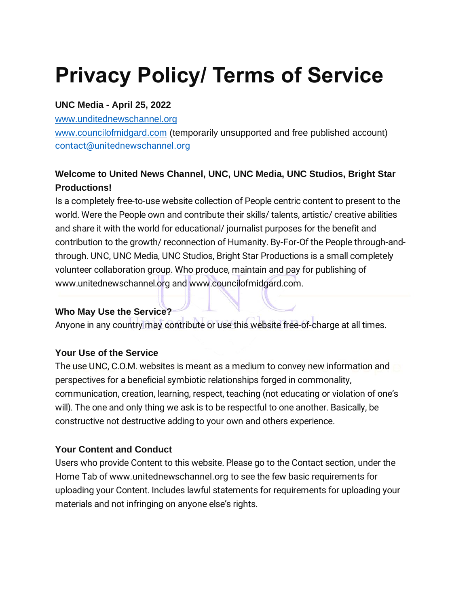# **Privacy Policy/ Terms of Service**

#### **UNC Media - April 25, 2022**

[www.unditednewschannel.org](http://www.unditednewschannel.org/)

[www.councilofmidgard.com](http://www.councilofmidgard.com/) (temporarily unsupported and free published account) [contact@unitednewschannel.org](mailto:contact@unitednewschannel.org)

## **Welcome to United News Channel, UNC, UNC Media, UNC Studios, Bright Star Productions!**

Is a completely free-to-use website collection of People centric content to present to the world. Were the People own and contribute their skills/ talents, artistic/ creative abilities and share it with the world for educational/ journalist purposes for the benefit and contribution to the growth/ reconnection of Humanity. By-For-Of the People through-andthrough. UNC, UNC Media, UNC Studios, Bright Star Productions is a small completely volunteer collaboration group. Who produce, maintain and pay for publishing of www.unitednewschannel.org and www.councilofmidgard.com.

## **Who May Use the Service?**

Anyone in any country may contribute or use this website free-of-charge at all times.

## **Your Use of the Service**

The use UNC, C.O.M. websites is meant as a medium to convey new information and perspectives for a beneficial symbiotic relationships forged in commonality, communication, creation, learning, respect, teaching (not educating or violation of one's will). The one and only thing we ask is to be respectful to one another. Basically, be constructive not destructive adding to your own and others experience.

## **Your Content and Conduct**

Users who provide Content to this website. Please go to the Contact section, under the Home Tab of www.unitednewschannel.org to see the few basic requirements for uploading your Content. Includes lawful statements for requirements for uploading your materials and not infringing on anyone else's rights.